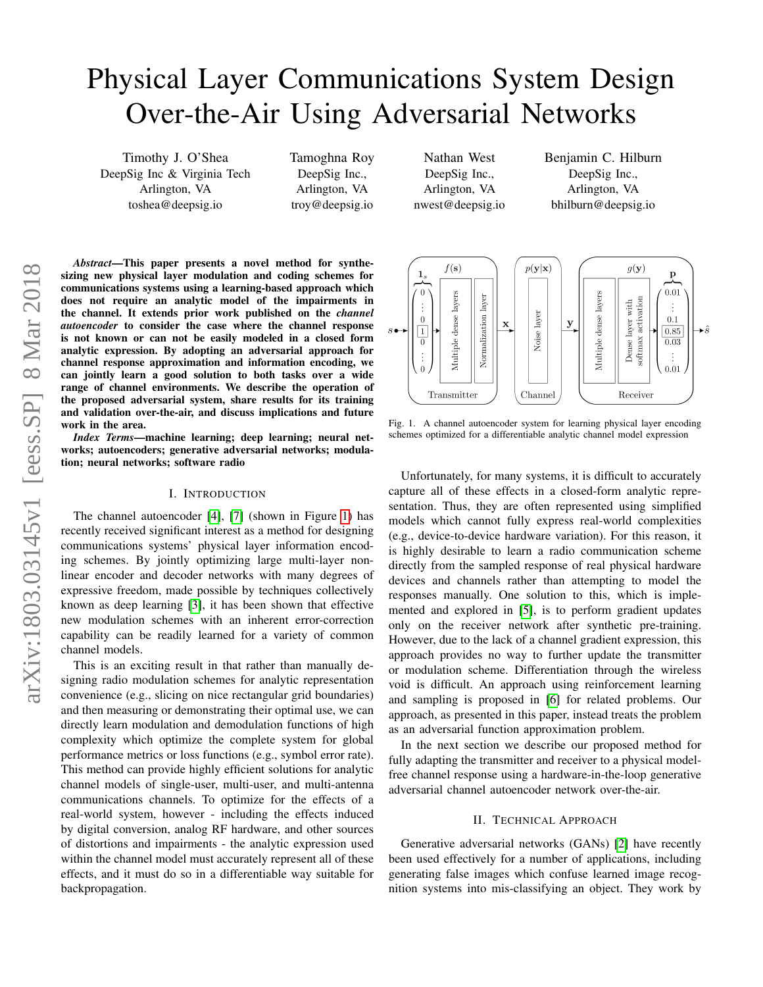# Physical Layer Communications System Design Over-the-Air Using Adversarial Networks

Timothy J. O'Shea DeepSig Inc & Virginia Tech Arlington, VA toshea@deepsig.io

Tamoghna Roy DeepSig Inc., Arlington, VA troy@deepsig.io

Nathan West DeepSig Inc., Arlington, VA nwest@deepsig.io Benjamin C. Hilburn DeepSig Inc., Arlington, VA bhilburn@deepsig.io

*Abstract*—This paper presents a novel method for synthesizing new physical layer modulation and coding schemes for communications systems using a learning-based approach which does not require an analytic model of the impairments in the channel. It extends prior work published on the *channel autoencoder* to consider the case where the channel response is not known or can not be easily modeled in a closed form analytic expression. By adopting an adversarial approach for channel response approximation and information encoding, we can jointly learn a good solution to both tasks over a wide range of channel environments. We describe the operation of the proposed adversarial system, share results for its training and validation over-the-air, and discuss implications and future work in the area.

*Index Terms*—machine learning; deep learning; neural networks; autoencoders; generative adversarial networks; modulation; neural networks; software radio

## I. INTRODUCTION

The channel autoencoder [\[4\]](#page-3-0), [\[7\]](#page-3-1) (shown in Figure [1\)](#page-0-0) has recently received significant interest as a method for designing communications systems' physical layer information encoding schemes. By jointly optimizing large multi-layer nonlinear encoder and decoder networks with many degrees of expressive freedom, made possible by techniques collectively known as deep learning [\[3\]](#page-3-2), it has been shown that effective new modulation schemes with an inherent error-correction capability can be readily learned for a variety of common channel models.

This is an exciting result in that rather than manually designing radio modulation schemes for analytic representation convenience (e.g., slicing on nice rectangular grid boundaries) and then measuring or demonstrating their optimal use, we can directly learn modulation and demodulation functions of high complexity which optimize the complete system for global performance metrics or loss functions (e.g., symbol error rate). This method can provide highly efficient solutions for analytic channel models of single-user, multi-user, and multi-antenna communications channels. To optimize for the effects of a real-world system, however - including the effects induced by digital conversion, analog RF hardware, and other sources of distortions and impairments - the analytic expression used within the channel model must accurately represent all of these effects, and it must do so in a differentiable way suitable for backpropagation.



<span id="page-0-0"></span>Fig. 1. A channel autoencoder system for learning physical layer encoding schemes optimized for a differentiable analytic channel model expression

Unfortunately, for many systems, it is difficult to accurately capture all of these effects in a closed-form analytic representation. Thus, they are often represented using simplified models which cannot fully express real-world complexities (e.g., device-to-device hardware variation). For this reason, it is highly desirable to learn a radio communication scheme directly from the sampled response of real physical hardware devices and channels rather than attempting to model the responses manually. One solution to this, which is implemented and explored in [\[5\]](#page-3-3), is to perform gradient updates only on the receiver network after synthetic pre-training. However, due to the lack of a channel gradient expression, this approach provides no way to further update the transmitter or modulation scheme. Differentiation through the wireless void is difficult. An approach using reinforcement learning and sampling is proposed in [\[6\]](#page-3-4) for related problems. Our approach, as presented in this paper, instead treats the problem as an adversarial function approximation problem.

In the next section we describe our proposed method for fully adapting the transmitter and receiver to a physical modelfree channel response using a hardware-in-the-loop generative adversarial channel autoencoder network over-the-air.

## II. TECHNICAL APPROACH

Generative adversarial networks (GANs) [\[2\]](#page-3-5) have recently been used effectively for a number of applications, including generating false images which confuse learned image recognition systems into mis-classifying an object. They work by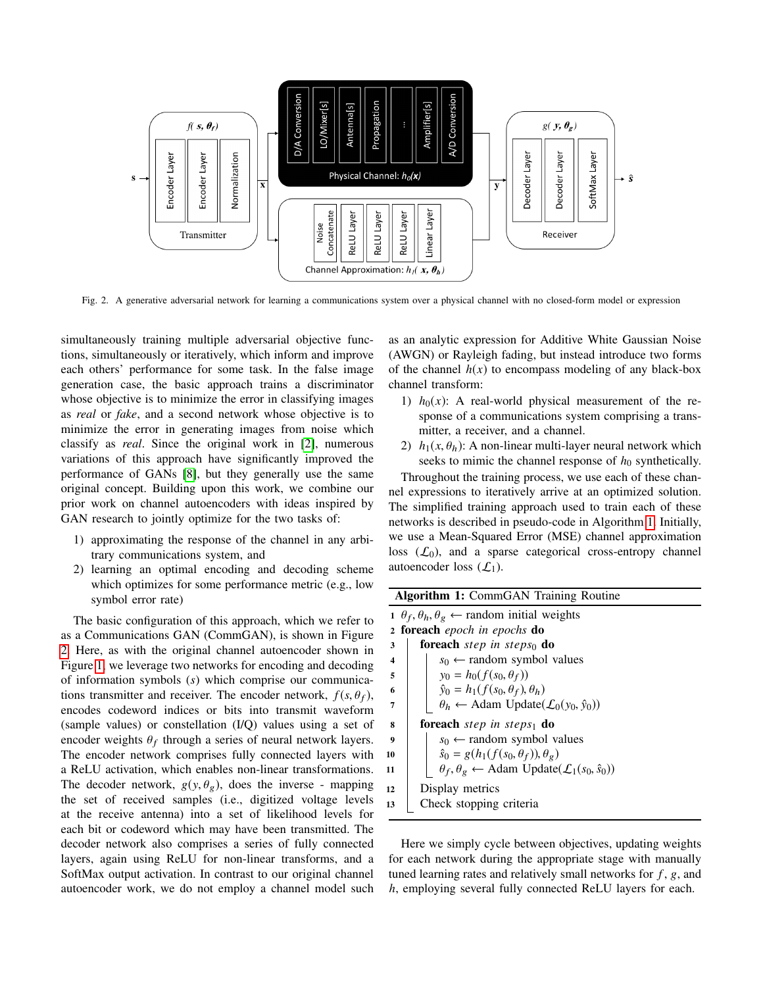

<span id="page-1-0"></span>Fig. 2. A generative adversarial network for learning a communications system over a physical channel with no closed-form model or expression

simultaneously training multiple adversarial objective functions, simultaneously or iteratively, which inform and improve each others' performance for some task. In the false image generation case, the basic approach trains a discriminator whose objective is to minimize the error in classifying images as *real* or *fake*, and a second network whose objective is to minimize the error in generating images from noise which classify as *real*. Since the original work in [\[2\]](#page-3-5), numerous variations of this approach have significantly improved the performance of GANs [\[8\]](#page-3-6), but they generally use the same original concept. Building upon this work, we combine our prior work on channel autoencoders with ideas inspired by GAN research to jointly optimize for the two tasks of:

- 1) approximating the response of the channel in any arbitrary communications system, and
- 2) learning an optimal encoding and decoding scheme which optimizes for some performance metric (e.g., low symbol error rate)

The basic configuration of this approach, which we refer to as a Communications GAN (CommGAN), is shown in Figure [2.](#page-1-0) Here, as with the original channel autoencoder shown in Figure [1,](#page-0-0) we leverage two networks for encoding and decoding of information symbols (*s*) which comprise our communications transmitter and receiver. The encoder network,  $f(s, \theta_f)$ , encodes codeword indices or bits into transmit waveform (sample values) or constellation (I/Q) values using a set of encoder weights  $\theta_f$  through a series of neural network layers.<br>The encoder network comprises fully connected layers with The encoder network comprises fully connected layers with a ReLU activation, which enables non-linear transformations. The decoder network,  $g(y, \theta_g)$ , does the inverse - mapping the set of received samples (i.e., digitized voltage levels at the receive antenna) into a set of likelihood levels for each bit or codeword which may have been transmitted. The decoder network also comprises a series of fully connected layers, again using ReLU for non-linear transforms, and a SoftMax output activation. In contrast to our original channel autoencoder work, we do not employ a channel model such as an analytic expression for Additive White Gaussian Noise (AWGN) or Rayleigh fading, but instead introduce two forms of the channel  $h(x)$  to encompass modeling of any black-box channel transform:

- 1)  $h_0(x)$ : A real-world physical measurement of the response of a communications system comprising a transmitter, a receiver, and a channel.
- 2)  $h_1(x, \theta_h)$ : A non-linear multi-layer neural network which seeks to mimic the channel response of  $h_0$  synthetically.

Throughout the training process, we use each of these channel expressions to iteratively arrive at an optimized solution. The simplified training approach used to train each of these networks is described in pseudo-code in Algorithm [1.](#page-1-1) Initially, we use a Mean-Squared Error (MSE) channel approximation loss  $(\mathcal{L}_0)$ , and a sparse categorical cross-entropy channel autoencoder loss  $(\mathcal{L}_1)$ .

<span id="page-1-1"></span>

| <b>Algorithm 1:</b> CommGAN Training Routine                     |                                                                               |
|------------------------------------------------------------------|-------------------------------------------------------------------------------|
| $\theta_f, \theta_h, \theta_g \leftarrow$ random initial weights |                                                                               |
| <b>2 foreach</b> epoch in epochs <b>do</b>                       |                                                                               |
| 3                                                                | <b>foreach</b> step in steps <sub>0</sub> do                                  |
| $\overline{\mathbf{4}}$                                          | $s_0 \leftarrow$ random symbol values                                         |
| 5                                                                | $y_0 = h_0(f(s_0, \theta_f))$                                                 |
| 6                                                                | $\hat{y}_0 = h_1(f(s_0, \theta_f), \theta_h)$                                 |
| 7                                                                | $\theta_h \leftarrow$ Adam Update $(\mathcal{L}_0(y_0, \hat{y}_0))$           |
| 8                                                                | <b>foreach</b> step in steps <sub>1</sub> do                                  |
| 9                                                                | $s_0 \leftarrow$ random symbol values                                         |
| 10                                                               | $\hat{s}_0 = g(h_1(f(s_0, \theta_f)), \theta_g)$                              |
| 11                                                               | $\theta_f, \theta_g \leftarrow$ Adam Update $(\mathcal{L}_1(s_0, \hat{s}_0))$ |
| 12                                                               | Display metrics                                                               |
| 13                                                               | Check stopping criteria                                                       |
|                                                                  |                                                                               |

Here we simply cycle between objectives, updating weights for each network during the appropriate stage with manually tuned learning rates and relatively small networks for *f* , g, and *h*, employing several fully connected ReLU layers for each.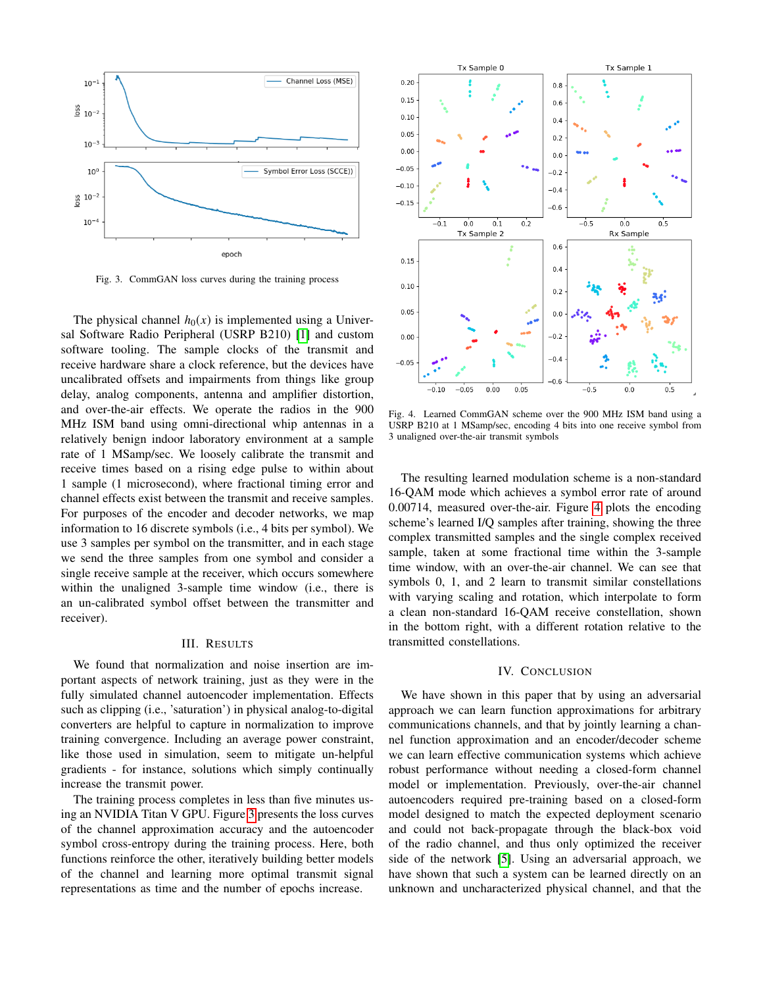

<span id="page-2-0"></span>Fig. 3. CommGAN loss curves during the training process

The physical channel  $h_0(x)$  is implemented using a Universal Software Radio Peripheral (USRP B210) [\[1\]](#page-3-7) and custom software tooling. The sample clocks of the transmit and receive hardware share a clock reference, but the devices have uncalibrated offsets and impairments from things like group delay, analog components, antenna and amplifier distortion, and over-the-air effects. We operate the radios in the 900 MHz ISM band using omni-directional whip antennas in a relatively benign indoor laboratory environment at a sample rate of 1 MSamp/sec. We loosely calibrate the transmit and receive times based on a rising edge pulse to within about 1 sample (1 microsecond), where fractional timing error and channel effects exist between the transmit and receive samples. For purposes of the encoder and decoder networks, we map information to 16 discrete symbols (i.e., 4 bits per symbol). We use 3 samples per symbol on the transmitter, and in each stage we send the three samples from one symbol and consider a single receive sample at the receiver, which occurs somewhere within the unaligned 3-sample time window (i.e., there is an un-calibrated symbol offset between the transmitter and receiver).

#### III. RESULTS

We found that normalization and noise insertion are important aspects of network training, just as they were in the fully simulated channel autoencoder implementation. Effects such as clipping (i.e., 'saturation') in physical analog-to-digital converters are helpful to capture in normalization to improve training convergence. Including an average power constraint, like those used in simulation, seem to mitigate un-helpful gradients - for instance, solutions which simply continually increase the transmit power.

The training process completes in less than five minutes using an NVIDIA Titan V GPU. Figure [3](#page-2-0) presents the loss curves of the channel approximation accuracy and the autoencoder symbol cross-entropy during the training process. Here, both functions reinforce the other, iteratively building better models of the channel and learning more optimal transmit signal representations as time and the number of epochs increase.



<span id="page-2-1"></span>Fig. 4. Learned CommGAN scheme over the 900 MHz ISM band using a USRP B210 at 1 MSamp/sec, encoding 4 bits into one receive symbol from 3 unaligned over-the-air transmit symbols

The resulting learned modulation scheme is a non-standard 16-QAM mode which achieves a symbol error rate of around 0.00714, measured over-the-air. Figure [4](#page-2-1) plots the encoding scheme's learned I/Q samples after training, showing the three complex transmitted samples and the single complex received sample, taken at some fractional time within the 3-sample time window, with an over-the-air channel. We can see that symbols 0, 1, and 2 learn to transmit similar constellations with varying scaling and rotation, which interpolate to form a clean non-standard 16-QAM receive constellation, shown in the bottom right, with a different rotation relative to the transmitted constellations.

# IV. CONCLUSION

We have shown in this paper that by using an adversarial approach we can learn function approximations for arbitrary communications channels, and that by jointly learning a channel function approximation and an encoder/decoder scheme we can learn effective communication systems which achieve robust performance without needing a closed-form channel model or implementation. Previously, over-the-air channel autoencoders required pre-training based on a closed-form model designed to match the expected deployment scenario and could not back-propagate through the black-box void of the radio channel, and thus only optimized the receiver side of the network [\[5\]](#page-3-3). Using an adversarial approach, we have shown that such a system can be learned directly on an unknown and uncharacterized physical channel, and that the